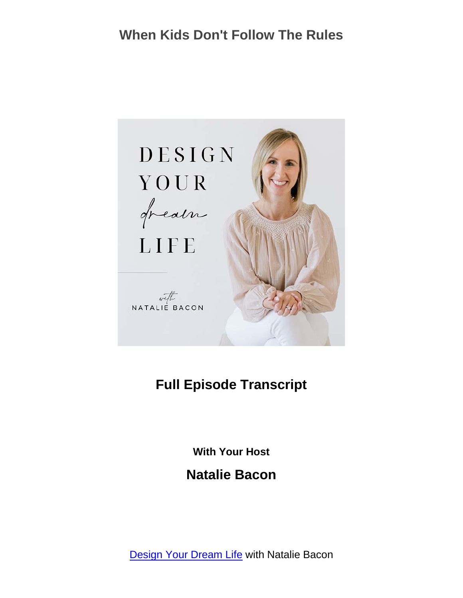

#### **Full Episode Transcript**

**With Your Host**

**Natalie Bacon**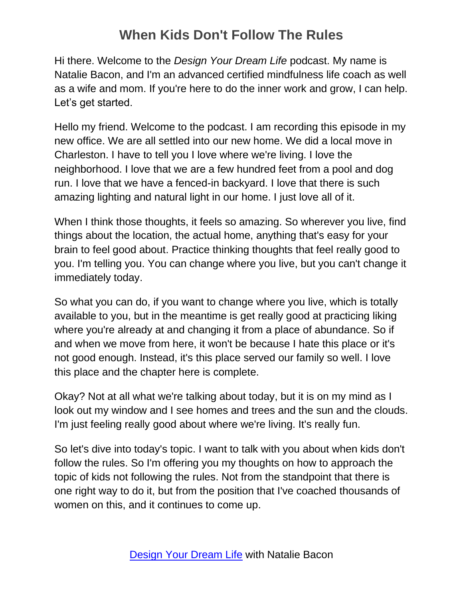Hi there. Welcome to the *Design Your Dream Life* podcast. My name is Natalie Bacon, and I'm an advanced certified mindfulness life coach as well as a wife and mom. If you're here to do the inner work and grow, I can help. Let's get started.

Hello my friend. Welcome to the podcast. I am recording this episode in my new office. We are all settled into our new home. We did a local move in Charleston. I have to tell you I love where we're living. I love the neighborhood. I love that we are a few hundred feet from a pool and dog run. I love that we have a fenced-in backyard. I love that there is such amazing lighting and natural light in our home. I just love all of it.

When I think those thoughts, it feels so amazing. So wherever you live, find things about the location, the actual home, anything that's easy for your brain to feel good about. Practice thinking thoughts that feel really good to you. I'm telling you. You can change where you live, but you can't change it immediately today.

So what you can do, if you want to change where you live, which is totally available to you, but in the meantime is get really good at practicing liking where you're already at and changing it from a place of abundance. So if and when we move from here, it won't be because I hate this place or it's not good enough. Instead, it's this place served our family so well. I love this place and the chapter here is complete.

Okay? Not at all what we're talking about today, but it is on my mind as I look out my window and I see homes and trees and the sun and the clouds. I'm just feeling really good about where we're living. It's really fun.

So let's dive into today's topic. I want to talk with you about when kids don't follow the rules. So I'm offering you my thoughts on how to approach the topic of kids not following the rules. Not from the standpoint that there is one right way to do it, but from the position that I've coached thousands of women on this, and it continues to come up.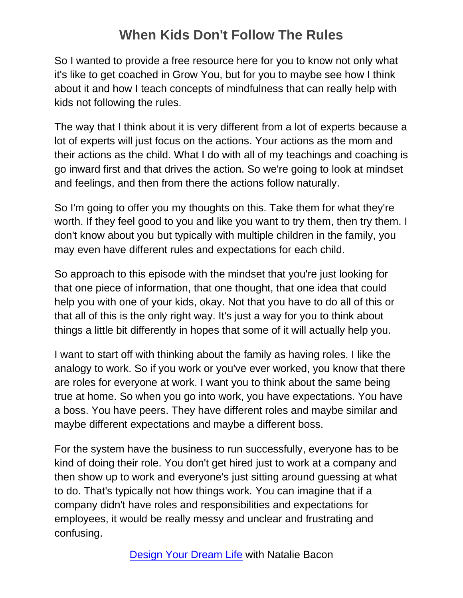So I wanted to provide a free resource here for you to know not only what it's like to get coached in Grow You, but for you to maybe see how I think about it and how I teach concepts of mindfulness that can really help with kids not following the rules.

The way that I think about it is very different from a lot of experts because a lot of experts will just focus on the actions. Your actions as the mom and their actions as the child. What I do with all of my teachings and coaching is go inward first and that drives the action. So we're going to look at mindset and feelings, and then from there the actions follow naturally.

So I'm going to offer you my thoughts on this. Take them for what they're worth. If they feel good to you and like you want to try them, then try them. I don't know about you but typically with multiple children in the family, you may even have different rules and expectations for each child.

So approach to this episode with the mindset that you're just looking for that one piece of information, that one thought, that one idea that could help you with one of your kids, okay. Not that you have to do all of this or that all of this is the only right way. It's just a way for you to think about things a little bit differently in hopes that some of it will actually help you.

I want to start off with thinking about the family as having roles. I like the analogy to work. So if you work or you've ever worked, you know that there are roles for everyone at work. I want you to think about the same being true at home. So when you go into work, you have expectations. You have a boss. You have peers. They have different roles and maybe similar and maybe different expectations and maybe a different boss.

For the system have the business to run successfully, everyone has to be kind of doing their role. You don't get hired just to work at a company and then show up to work and everyone's just sitting around guessing at what to do. That's typically not how things work. You can imagine that if a company didn't have roles and responsibilities and expectations for employees, it would be really messy and unclear and frustrating and confusing.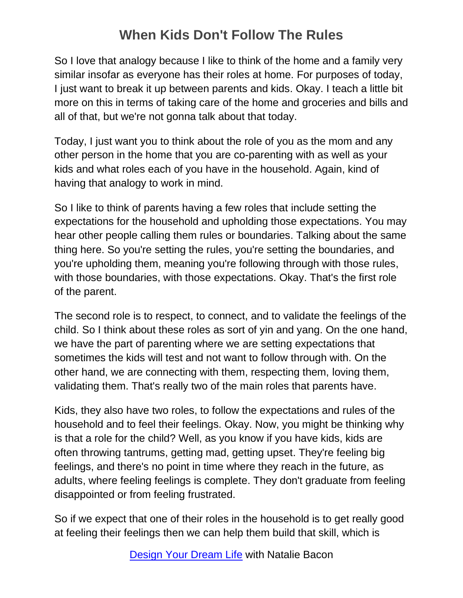So I love that analogy because I like to think of the home and a family very similar insofar as everyone has their roles at home. For purposes of today, I just want to break it up between parents and kids. Okay. I teach a little bit more on this in terms of taking care of the home and groceries and bills and all of that, but we're not gonna talk about that today.

Today, I just want you to think about the role of you as the mom and any other person in the home that you are co-parenting with as well as your kids and what roles each of you have in the household. Again, kind of having that analogy to work in mind.

So I like to think of parents having a few roles that include setting the expectations for the household and upholding those expectations. You may hear other people calling them rules or boundaries. Talking about the same thing here. So you're setting the rules, you're setting the boundaries, and you're upholding them, meaning you're following through with those rules, with those boundaries, with those expectations. Okay. That's the first role of the parent.

The second role is to respect, to connect, and to validate the feelings of the child. So I think about these roles as sort of yin and yang. On the one hand, we have the part of parenting where we are setting expectations that sometimes the kids will test and not want to follow through with. On the other hand, we are connecting with them, respecting them, loving them, validating them. That's really two of the main roles that parents have.

Kids, they also have two roles, to follow the expectations and rules of the household and to feel their feelings. Okay. Now, you might be thinking why is that a role for the child? Well, as you know if you have kids, kids are often throwing tantrums, getting mad, getting upset. They're feeling big feelings, and there's no point in time where they reach in the future, as adults, where feeling feelings is complete. They don't graduate from feeling disappointed or from feeling frustrated.

So if we expect that one of their roles in the household is to get really good at feeling their feelings then we can help them build that skill, which is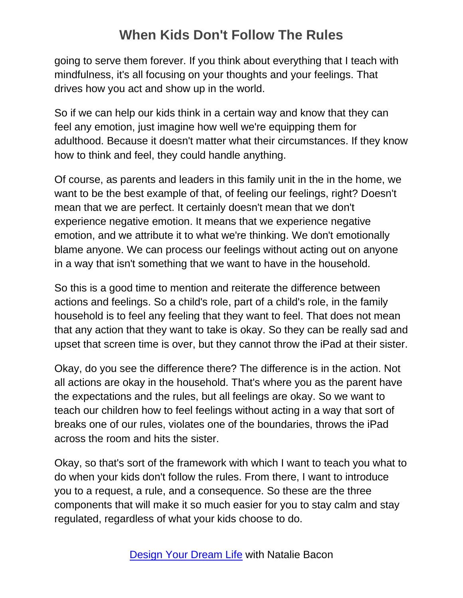going to serve them forever. If you think about everything that I teach with mindfulness, it's all focusing on your thoughts and your feelings. That drives how you act and show up in the world.

So if we can help our kids think in a certain way and know that they can feel any emotion, just imagine how well we're equipping them for adulthood. Because it doesn't matter what their circumstances. If they know how to think and feel, they could handle anything.

Of course, as parents and leaders in this family unit in the in the home, we want to be the best example of that, of feeling our feelings, right? Doesn't mean that we are perfect. It certainly doesn't mean that we don't experience negative emotion. It means that we experience negative emotion, and we attribute it to what we're thinking. We don't emotionally blame anyone. We can process our feelings without acting out on anyone in a way that isn't something that we want to have in the household.

So this is a good time to mention and reiterate the difference between actions and feelings. So a child's role, part of a child's role, in the family household is to feel any feeling that they want to feel. That does not mean that any action that they want to take is okay. So they can be really sad and upset that screen time is over, but they cannot throw the iPad at their sister.

Okay, do you see the difference there? The difference is in the action. Not all actions are okay in the household. That's where you as the parent have the expectations and the rules, but all feelings are okay. So we want to teach our children how to feel feelings without acting in a way that sort of breaks one of our rules, violates one of the boundaries, throws the iPad across the room and hits the sister.

Okay, so that's sort of the framework with which I want to teach you what to do when your kids don't follow the rules. From there, I want to introduce you to a request, a rule, and a consequence. So these are the three components that will make it so much easier for you to stay calm and stay regulated, regardless of what your kids choose to do.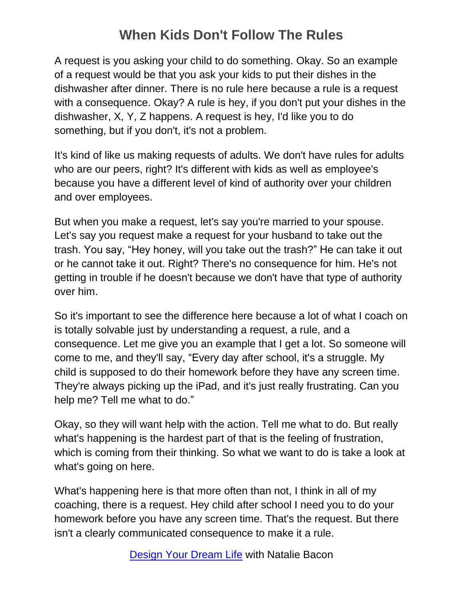A request is you asking your child to do something. Okay. So an example of a request would be that you ask your kids to put their dishes in the dishwasher after dinner. There is no rule here because a rule is a request with a consequence. Okay? A rule is hey, if you don't put your dishes in the dishwasher, X, Y, Z happens. A request is hey, I'd like you to do something, but if you don't, it's not a problem.

It's kind of like us making requests of adults. We don't have rules for adults who are our peers, right? It's different with kids as well as employee's because you have a different level of kind of authority over your children and over employees.

But when you make a request, let's say you're married to your spouse. Let's say you request make a request for your husband to take out the trash. You say, "Hey honey, will you take out the trash?" He can take it out or he cannot take it out. Right? There's no consequence for him. He's not getting in trouble if he doesn't because we don't have that type of authority over him.

So it's important to see the difference here because a lot of what I coach on is totally solvable just by understanding a request, a rule, and a consequence. Let me give you an example that I get a lot. So someone will come to me, and they'll say, "Every day after school, it's a struggle. My child is supposed to do their homework before they have any screen time. They're always picking up the iPad, and it's just really frustrating. Can you help me? Tell me what to do."

Okay, so they will want help with the action. Tell me what to do. But really what's happening is the hardest part of that is the feeling of frustration, which is coming from their thinking. So what we want to do is take a look at what's going on here.

What's happening here is that more often than not, I think in all of my coaching, there is a request. Hey child after school I need you to do your homework before you have any screen time. That's the request. But there isn't a clearly communicated consequence to make it a rule.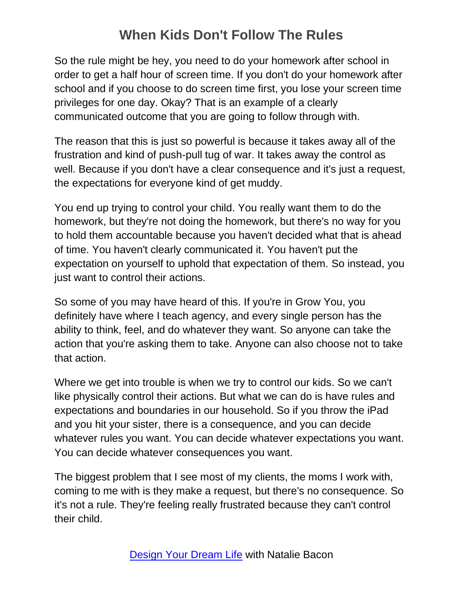So the rule might be hey, you need to do your homework after school in order to get a half hour of screen time. If you don't do your homework after school and if you choose to do screen time first, you lose your screen time privileges for one day. Okay? That is an example of a clearly communicated outcome that you are going to follow through with.

The reason that this is just so powerful is because it takes away all of the frustration and kind of push-pull tug of war. It takes away the control as well. Because if you don't have a clear consequence and it's just a request, the expectations for everyone kind of get muddy.

You end up trying to control your child. You really want them to do the homework, but they're not doing the homework, but there's no way for you to hold them accountable because you haven't decided what that is ahead of time. You haven't clearly communicated it. You haven't put the expectation on yourself to uphold that expectation of them. So instead, you just want to control their actions.

So some of you may have heard of this. If you're in Grow You, you definitely have where I teach agency, and every single person has the ability to think, feel, and do whatever they want. So anyone can take the action that you're asking them to take. Anyone can also choose not to take that action.

Where we get into trouble is when we try to control our kids. So we can't like physically control their actions. But what we can do is have rules and expectations and boundaries in our household. So if you throw the iPad and you hit your sister, there is a consequence, and you can decide whatever rules you want. You can decide whatever expectations you want. You can decide whatever consequences you want.

The biggest problem that I see most of my clients, the moms I work with, coming to me with is they make a request, but there's no consequence. So it's not a rule. They're feeling really frustrated because they can't control their child.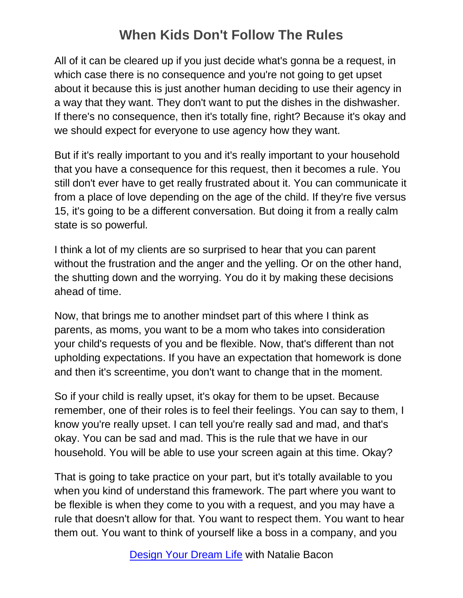All of it can be cleared up if you just decide what's gonna be a request, in which case there is no consequence and you're not going to get upset about it because this is just another human deciding to use their agency in a way that they want. They don't want to put the dishes in the dishwasher. If there's no consequence, then it's totally fine, right? Because it's okay and we should expect for everyone to use agency how they want.

But if it's really important to you and it's really important to your household that you have a consequence for this request, then it becomes a rule. You still don't ever have to get really frustrated about it. You can communicate it from a place of love depending on the age of the child. If they're five versus 15, it's going to be a different conversation. But doing it from a really calm state is so powerful.

I think a lot of my clients are so surprised to hear that you can parent without the frustration and the anger and the yelling. Or on the other hand, the shutting down and the worrying. You do it by making these decisions ahead of time.

Now, that brings me to another mindset part of this where I think as parents, as moms, you want to be a mom who takes into consideration your child's requests of you and be flexible. Now, that's different than not upholding expectations. If you have an expectation that homework is done and then it's screentime, you don't want to change that in the moment.

So if your child is really upset, it's okay for them to be upset. Because remember, one of their roles is to feel their feelings. You can say to them, I know you're really upset. I can tell you're really sad and mad, and that's okay. You can be sad and mad. This is the rule that we have in our household. You will be able to use your screen again at this time. Okay?

That is going to take practice on your part, but it's totally available to you when you kind of understand this framework. The part where you want to be flexible is when they come to you with a request, and you may have a rule that doesn't allow for that. You want to respect them. You want to hear them out. You want to think of yourself like a boss in a company, and you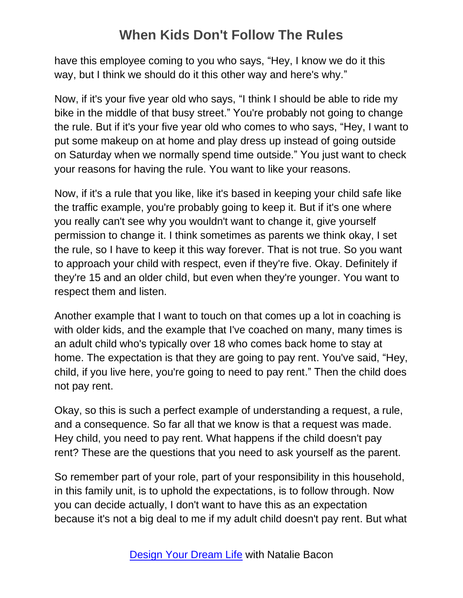have this employee coming to you who says, "Hey, I know we do it this way, but I think we should do it this other way and here's why."

Now, if it's your five year old who says, "I think I should be able to ride my bike in the middle of that busy street." You're probably not going to change the rule. But if it's your five year old who comes to who says, "Hey, I want to put some makeup on at home and play dress up instead of going outside on Saturday when we normally spend time outside." You just want to check your reasons for having the rule. You want to like your reasons.

Now, if it's a rule that you like, like it's based in keeping your child safe like the traffic example, you're probably going to keep it. But if it's one where you really can't see why you wouldn't want to change it, give yourself permission to change it. I think sometimes as parents we think okay, I set the rule, so I have to keep it this way forever. That is not true. So you want to approach your child with respect, even if they're five. Okay. Definitely if they're 15 and an older child, but even when they're younger. You want to respect them and listen.

Another example that I want to touch on that comes up a lot in coaching is with older kids, and the example that I've coached on many, many times is an adult child who's typically over 18 who comes back home to stay at home. The expectation is that they are going to pay rent. You've said, "Hey, child, if you live here, you're going to need to pay rent." Then the child does not pay rent.

Okay, so this is such a perfect example of understanding a request, a rule, and a consequence. So far all that we know is that a request was made. Hey child, you need to pay rent. What happens if the child doesn't pay rent? These are the questions that you need to ask yourself as the parent.

So remember part of your role, part of your responsibility in this household, in this family unit, is to uphold the expectations, is to follow through. Now you can decide actually, I don't want to have this as an expectation because it's not a big deal to me if my adult child doesn't pay rent. But what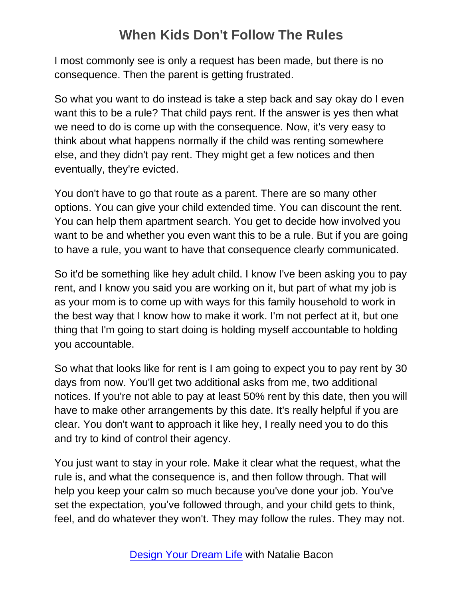I most commonly see is only a request has been made, but there is no consequence. Then the parent is getting frustrated.

So what you want to do instead is take a step back and say okay do I even want this to be a rule? That child pays rent. If the answer is yes then what we need to do is come up with the consequence. Now, it's very easy to think about what happens normally if the child was renting somewhere else, and they didn't pay rent. They might get a few notices and then eventually, they're evicted.

You don't have to go that route as a parent. There are so many other options. You can give your child extended time. You can discount the rent. You can help them apartment search. You get to decide how involved you want to be and whether you even want this to be a rule. But if you are going to have a rule, you want to have that consequence clearly communicated.

So it'd be something like hey adult child. I know I've been asking you to pay rent, and I know you said you are working on it, but part of what my job is as your mom is to come up with ways for this family household to work in the best way that I know how to make it work. I'm not perfect at it, but one thing that I'm going to start doing is holding myself accountable to holding you accountable.

So what that looks like for rent is I am going to expect you to pay rent by 30 days from now. You'll get two additional asks from me, two additional notices. If you're not able to pay at least 50% rent by this date, then you will have to make other arrangements by this date. It's really helpful if you are clear. You don't want to approach it like hey, I really need you to do this and try to kind of control their agency.

You just want to stay in your role. Make it clear what the request, what the rule is, and what the consequence is, and then follow through. That will help you keep your calm so much because you've done your job. You've set the expectation, you've followed through, and your child gets to think, feel, and do whatever they won't. They may follow the rules. They may not.